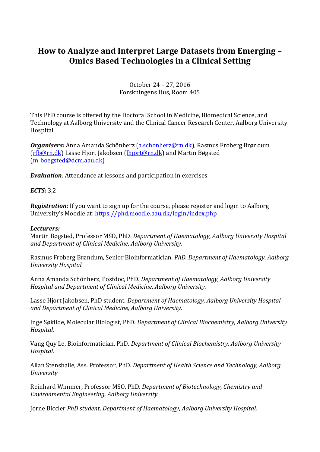# **How to Analyze and Interpret Large Datasets from Emerging – Omics Based Technologies in a Clinical Setting**

#### October 24 – 27, 2016 Forskningens Hus, Room 405

This PhD course is offered by the Doctoral School in Medicine, Biomedical Science, and Technology at Aalborg University and the Clinical Cancer Research Center, Aalborg University Hospital

*Organisers:* Anna Amanda Schönherz [\(a.schonherz@rn.dk\)](mailto:a.schonherz@rn.dk), Rasmus Froberg Brøndum [\(rfb@rn.dk\)](mailto:rfb@rn.dk) Lasse Hjort Jakobsen [\(lhjort@rn.dk\)](mailto:lhjort@rn.dk) and Martin Bøgsted [\(m\\_boegsted@dcm.aau.dk\)](mailto:m_boegsted@dcm.aau.dk)

*Evaluation:* Attendance at lessons and participation in exercises

## *ECTS:* 3,2

*Registration:* If you want to sign up for the course, please register and login to Aalborg University's Moodle at: <https://phd.moodle.aau.dk/login/index.php>

#### *Lecturers:*

Martin Bøgsted, Professor MSO, PhD. *Department of Haematology, Aalborg University Hospital and Department of Clinical Medicine, Aalborg University.*

Rasmus Froberg Brøndum, Senior Bioinformatician, *PhD. Department of Haematology, Aalborg University Hospital.*

Anna Amanda Schönherz, Postdoc, PhD. *Department of Haematology, Aalborg University Hospital and Department of Clinical Medicine, Aalborg University.*

Lasse Hjort Jakobsen, PhD student. *Department of Haematology, Aalborg University Hospital and Department of Clinical Medicine, Aalborg University.*

Inge Søkilde, Molecular Biologist, PhD. *Department of Clinical Biochemistry, Aalborg University Hospital.*

Vang Quy Le, Bioinformatician, PhD. *Department of Clinical Biochemistry, Aalborg University Hospital.*

Allan Stensballe, Ass. Professor, PhD. *Department of Health Science and Technology, Aalborg University*

Reinhard Wimmer, Professor MSO, PhD. *Department of Biotechnology, Chemistry and Environmental Engineering, Aalborg University.*

Jorne Biccler *PhD student, Department of Haematology, Aalborg University Hospital.*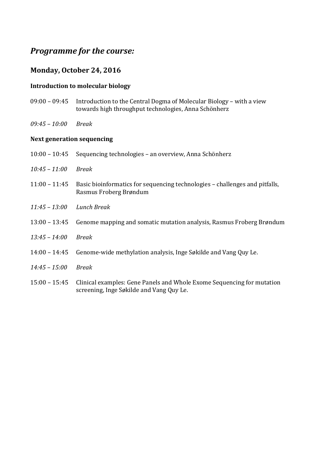# *Programme for the course:*

## **Monday, October 24, 2016**

## **Introduction to molecular biology**

- 09:00 09:45 Introduction to the Central Dogma of Molecular Biology with a view towards high throughput technologies, Anna Schönherz
- *09:45 – 10:00 Break*

#### **Next generation sequencing**

- 10:00 10:45 Sequencing technologies an overview, Anna Schönherz
- *10:45 – 11:00 Break*
- 11:00 11:45 Basic bioinformatics for sequencing technologies challenges and pitfalls, Rasmus Froberg Brøndum
- *11:45 – 13:00 Lunch Break*
- 13:00 13:45 Genome mapping and somatic mutation analysis, Rasmus Froberg Brøndum
- *13:45 – 14:00 Break*
- 14:00 14:45 Genome-wide methylation analysis, Inge Søkilde and Vang Quy Le.
- *14:45 – 15:00 Break*
- 15:00 15:45 Clinical examples: Gene Panels and Whole Exome Sequencing for mutation screening, Inge Søkilde and Vang Quy Le.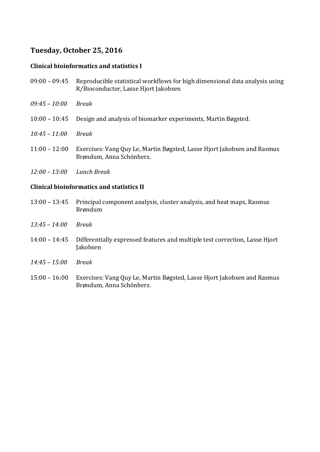# **Tuesday, October 25, 2016**

## **Clinical bioinformatics and statistics I**

- 09:00 09:45 Reproducible statistical workflows for high dimensional data analysis using R/Bioconductor, Lasse Hjort Jakobsen
- *09:45 – 10:00 Break*
- 10:00 10:45 Design and analysis of biomarker experiments, Martin Bøgsted.
- *10:45 – 11:00 Break*
- 11:00 12:00 Exercises: Vang Quy Le, Martin Bøgsted, Lasse Hjort Jakobsen and Rasmus Brøndum, Anna Schönherz.
- *12:00 – 13:00 Lunch Break*

#### **Clinical bioinformatics and statistics II**

- 13:00 13:45 Principal component analysis, cluster analysis, and heat maps, Rasmus Brøndum
- *13:45 – 14:00 Break*
- 14:00 14:45 Differentially expressed features and multiple test correction, Lasse Hjort Jakobsen
- *14:45 – 15:00 Break*
- 15:00 16:00 Exercises: Vang Quy Le, Martin Bøgsted, Lasse Hjort Jakobsen and Rasmus Brøndum, Anna Schönherz.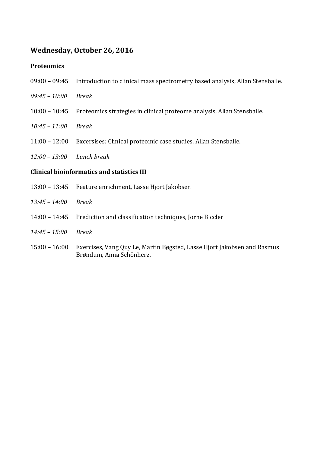## **Wednesday, October 26, 2016**

#### **Proteomics**

- 09:00 09:45 Introduction to clinical mass spectrometry based analysis, Allan Stensballe.
- *09:45 – 10:00 Break*
- 10:00 10:45 Proteomics strategies in clinical proteome analysis, Allan Stensballe.
- *10:45 – 11:00 Break*
- 11:00 12:00 Excersises: Clinical proteomic case studies, Allan Stensballe.
- *12:00 – 13:00 Lunch break*

#### **Clinical bioinformatics and statistics III**

- 13:00 13:45 Feature enrichment, Lasse Hjort Jakobsen
- *13:45 – 14:00 Break*
- 14:00 14:45 Prediction and classification techniques, Jorne Biccler
- *14:45 – 15:00 Break*
- 15:00 16:00 Exercises, Vang Quy Le, Martin Bøgsted, Lasse Hjort Jakobsen and Rasmus Brøndum, Anna Schönherz.